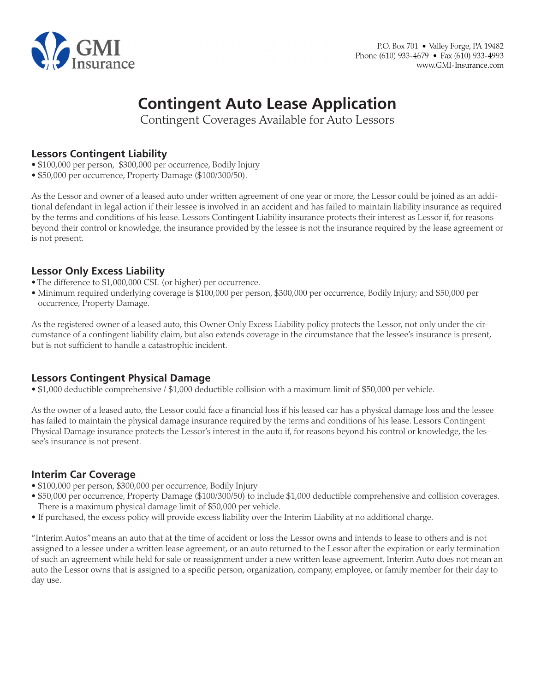

# **Contingent Auto Lease Application**

Contingent Coverages Available for Auto Lessors

## **Lessors Contingent Liability**

- \$100,000 per person, \$300,000 per occurrence, Bodily Injury
- \$50,000 per occurrence, Property Damage (\$100/300/50).

As the Lessor and owner of a leased auto under written agreement of one year or more, the Lessor could be joined as an additional defendant in legal action if their lessee is involved in an accident and has failed to maintain liability insurance as required by the terms and conditions of his lease. Lessors Contingent Liability insurance protects their interest as Lessor if, for reasons beyond their control or knowledge, the insurance provided by the lessee is not the insurance required by the lease agreement or is not present.

## **Lessor Only Excess Liability**

- The difference to \$1,000,000 CSL (or higher) per occurrence.
- Minimum required underlying coverage is \$100,000 per person, \$300,000 per occurrence, Bodily Injury; and \$50,000 per occurrence, Property Damage.

As the registered owner of a leased auto, this Owner Only Excess Liability policy protects the Lessor, not only under the circumstance of a contingent liability claim, but also extends coverage in the circumstance that the lessee's insurance is present, but is not sufficient to handle a catastrophic incident.

## **Lessors Contingent Physical Damage**

• \$1,000 deductible comprehensive / \$1,000 deductible collision with a maximum limit of \$50,000 per vehicle.

As the owner of a leased auto, the Lessor could face a financial loss if his leased car has a physical damage loss and the lessee has failed to maintain the physical damage insurance required by the terms and conditions of his lease. Lessors Contingent Physical Damage insurance protects the Lessor's interest in the auto if, for reasons beyond his control or knowledge, the lessee's insurance is not present.

## **Interim Car Coverage**

- \$100,000 per person, \$300,000 per occurrence, Bodily Injury
- \$50,000 per occurrence, Property Damage (\$100/300/50) to include \$1,000 deductible comprehensive and collision coverages. There is a maximum physical damage limit of \$50,000 per vehicle.
- If purchased, the excess policy will provide excess liability over the Interim Liability at no additional charge.

"Interim Autos" means an auto that at the time of accident or loss the Lessor owns and intends to lease to others and is not assigned to a lessee under a written lease agreement, or an auto returned to the Lessor after the expiration or early termination of such an agreement while held for sale or reassignment under a new written lease agreement. Interim Auto does not mean an auto the Lessor owns that is assigned to a specific person, organization, company, employee, or family member for their day to day use.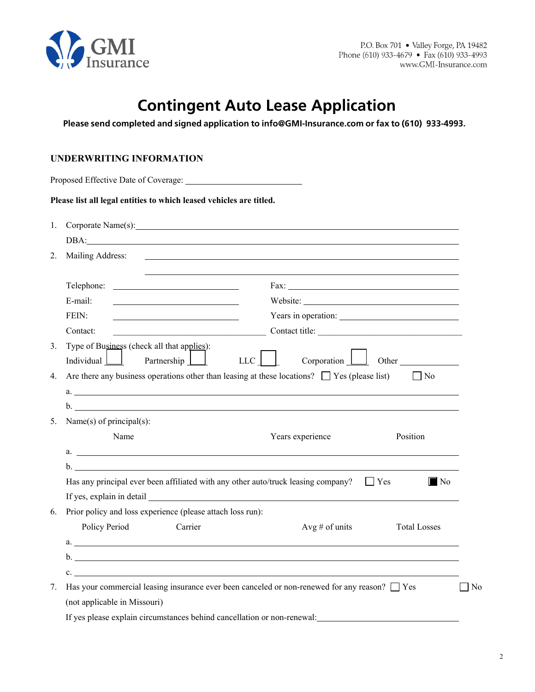

# **Contingent Auto Lease Application**

**Please send completed and signed application to info@GMI-Insurance.com or fax to (610) 933-4993.**

### **UNDERWRITING INFORMATION**

|             | Please list all legal entities to which leased vehicles are titled.                                                                                                                                                            |
|-------------|--------------------------------------------------------------------------------------------------------------------------------------------------------------------------------------------------------------------------------|
| $1_{\cdot}$ | Corporate Name(s): example of the state of the state of the state of the state of the state of the state of the state of the state of the state of the state of the state of the state of the state of the state of the state  |
|             | DBA: and the contract of the contract of the contract of the contract of the contract of the contract of the contract of the contract of the contract of the contract of the contract of the contract of the contract of the c |
| 2.          | Mailing Address:<br><u> 1980 - John Stein, marking and de broad and de broad and de broad and de broad and de broad and de broad and</u>                                                                                       |
|             |                                                                                                                                                                                                                                |
|             | E-mail:<br>Website:<br><u> 1989 - Johann Stoff, fransk politik (d. 1989)</u>                                                                                                                                                   |
|             | FEIN:<br>Years in operation:                                                                                                                                                                                                   |
|             | Contact title:<br>Contact:<br><u> 1989 - Johann Barbara, martxa alemaniar a</u>                                                                                                                                                |
| 3.          | Type of Business (check all that applies):                                                                                                                                                                                     |
|             | Corporation<br>$LLC$    <br>Individual $\Box$<br>Partnership  <br>Other                                                                                                                                                        |
| $4_{\cdot}$ | Are there any business operations other than leasing at these locations? $\Box$ Yes (please list)<br>$\Box$ No                                                                                                                 |
|             | a.                                                                                                                                                                                                                             |
|             | $\mathbf{b}$ .                                                                                                                                                                                                                 |
| 5.          | Name(s) of principal(s):                                                                                                                                                                                                       |
|             | Name<br>Years experience<br>Position                                                                                                                                                                                           |
|             | a.                                                                                                                                                                                                                             |
|             | $\mathbf{b}$ .                                                                                                                                                                                                                 |
|             | Has any principal ever been affiliated with any other auto/truck leasing company? $\square$ Yes<br>$\blacksquare$ No                                                                                                           |
|             |                                                                                                                                                                                                                                |
| 6.          | Prior policy and loss experience (please attach loss run):                                                                                                                                                                     |
|             | Policy Period<br>Carrier<br>Avg # of units<br><b>Total Losses</b>                                                                                                                                                              |
|             | $a.$ $\overline{\phantom{a}}$                                                                                                                                                                                                  |
|             |                                                                                                                                                                                                                                |
|             | $\mathbf{c}$ .                                                                                                                                                                                                                 |
| 7.          | Has your commercial leasing insurance ever been canceled or non-renewed for any reason? $\Box$ Yes<br>N <sub>0</sub>                                                                                                           |
|             | (not applicable in Missouri)                                                                                                                                                                                                   |
|             | If yes please explain circumstances behind cancellation or non-renewal:                                                                                                                                                        |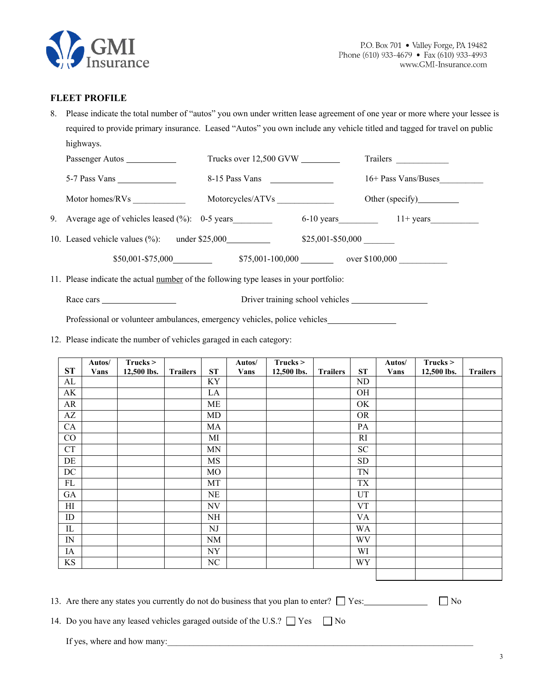

#### **FLEET PROFILE**

8. Please indicate the total number of "autos" you own under written lease agreement of one year or more where your lessee is required to provide primary insurance. Leased "Autos" you own include any vehicle titled and tagged for travel on public highways.

| Passenger Autos                                                                       | Trucks over 12,500 GVW |                     | Trailers                                 |
|---------------------------------------------------------------------------------------|------------------------|---------------------|------------------------------------------|
|                                                                                       | 8-15 Pass Vans         |                     | 16+ Pass Vans/Buses                      |
|                                                                                       | Motorcycles/ATVs       |                     |                                          |
| 9. Average age of vehicles leased $(\%)$ : 0-5 years                                  |                        |                     | $6-10 \text{ years}$ $11 + \text{years}$ |
| 10. Leased vehicle values (%): under \$25,000                                         |                        | $$25,001 - $50,000$ |                                          |
| $$50,001 - $75,000$                                                                   |                        |                     | $$75,001-100,000$ over \$100,000         |
| 11. Please indicate the actual number of the following type leases in your portfolio: |                        |                     |                                          |

Race cars Driver training school vehicles

Professional or volunteer ambulances, emergency vehicles, police vehicles

12. Please indicate the number of vehicles garaged in each category:

|                          | Autos/      | Trucks >    |                 |                          | Autos/      | $Trucks$ >  |                 |           | Autos/      | Trucks >    |                 |
|--------------------------|-------------|-------------|-----------------|--------------------------|-------------|-------------|-----------------|-----------|-------------|-------------|-----------------|
| ST                       | <b>Vans</b> | 12,500 lbs. | <b>Trailers</b> | ST                       | <b>Vans</b> | 12,500 lbs. | <b>Trailers</b> | ST        | <b>Vans</b> | 12,500 lbs. | <b>Trailers</b> |
| AL                       |             |             |                 | KY                       |             |             |                 | ND        |             |             |                 |
| AK                       |             |             |                 | LA                       |             |             |                 | OH        |             |             |                 |
| AR                       |             |             |                 | ME                       |             |             |                 | OK        |             |             |                 |
| $\mathbf{A}\mathbf{Z}$   |             |             |                 | MD                       |             |             |                 | <b>OR</b> |             |             |                 |
| CA                       |             |             |                 | MA                       |             |             |                 | PA        |             |             |                 |
| CO                       |             |             |                 | MI                       |             |             |                 | RI        |             |             |                 |
| CT                       |             |             |                 | <b>MN</b>                |             |             |                 | <b>SC</b> |             |             |                 |
| DE                       |             |             |                 | MS                       |             |             |                 | SD        |             |             |                 |
| DC                       |             |             |                 | <b>MO</b>                |             |             |                 | <b>TN</b> |             |             |                 |
| FL                       |             |             |                 | MT                       |             |             |                 | TX        |             |             |                 |
| GA                       |             |             |                 | NE                       |             |             |                 | UT        |             |             |                 |
| H                        |             |             |                 | $\ensuremath{\text{NV}}$ |             |             |                 | <b>VT</b> |             |             |                 |
| ID                       |             |             |                 | NH                       |             |             |                 | <b>VA</b> |             |             |                 |
| ${\rm IL}$               |             |             |                 | NJ                       |             |             |                 | <b>WA</b> |             |             |                 |
| $\ensuremath{\text{IN}}$ |             |             |                 | NM                       |             |             |                 | WV        |             |             |                 |
| IA                       |             |             |                 | ${\rm NY}$               |             |             |                 | WI        |             |             |                 |
| KS                       |             |             |                 | NC                       |             |             |                 | WY        |             |             |                 |
|                          |             |             |                 |                          |             |             |                 |           |             |             |                 |

13. Are there any states you currently do not do business that you plan to enter?  $\Box$  Yes:  $\Box$  No

14. Do you have any leased vehicles garaged outside of the U.S.?  $\Box$  Yes  $\Box$  No

If yes, where and how many: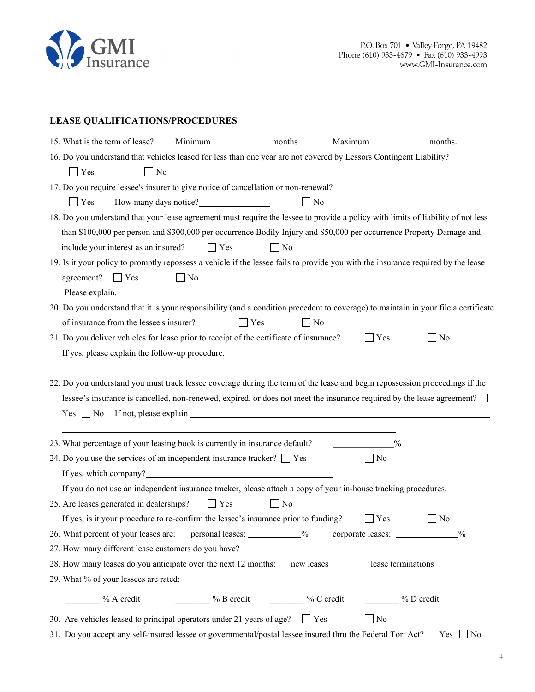

### **LEASE QUALIFICATIONS/PROCEDURES**

| 15. What is the term of lease? |                                                 | Minimum months                                                                                                                                                                                                                |              |                                  | Maximum months. |                |  |
|--------------------------------|-------------------------------------------------|-------------------------------------------------------------------------------------------------------------------------------------------------------------------------------------------------------------------------------|--------------|----------------------------------|-----------------|----------------|--|
|                                |                                                 | 16. Do you understand that vehicles leased for less than one year are not covered by Lessors Contingent Liability?                                                                                                            |              |                                  |                 |                |  |
| <b>Yes</b>                     | $\Box$ No                                       |                                                                                                                                                                                                                               |              |                                  |                 |                |  |
|                                |                                                 | 17. Do you require lessee's insurer to give notice of cancellation or non-renewal?                                                                                                                                            |              |                                  |                 |                |  |
| Yes                            |                                                 | How many days notice?                                                                                                                                                                                                         |              | $\perp$<br>No                    |                 |                |  |
|                                |                                                 | 18. Do you understand that your lease agreement must require the lessee to provide a policy with limits of liability of not less                                                                                              |              |                                  |                 |                |  |
|                                |                                                 | than \$100,000 per person and \$300,000 per occurrence Bodily Injury and \$50,000 per occurrence Property Damage and                                                                                                          |              |                                  |                 |                |  |
|                                | include your interest as an insured?            | $\Box$ Yes                                                                                                                                                                                                                    | $\Box$ No    |                                  |                 |                |  |
|                                |                                                 | 19. Is it your policy to promptly repossess a vehicle if the lessee fails to provide you with the insurance required by the lease                                                                                             |              |                                  |                 |                |  |
| agreement? $\Box$ Yes          |                                                 | $\Box$ No                                                                                                                                                                                                                     |              |                                  |                 |                |  |
|                                |                                                 | Please explain. Notice and the set of the set of the set of the set of the set of the set of the set of the set of the set of the set of the set of the set of the set of the set of the set of the set of the set of the set |              |                                  |                 |                |  |
|                                |                                                 | 20. Do you understand that it is your responsibility (and a condition precedent to coverage) to maintain in your file a certificate                                                                                           |              |                                  |                 |                |  |
|                                | of insurance from the lessee's insurer?         |                                                                                                                                                                                                                               | $\Box$ Yes   | N <sub>0</sub><br>$\blacksquare$ |                 |                |  |
|                                |                                                 | 21. Do you deliver vehicles for lease prior to receipt of the certificate of insurance?                                                                                                                                       |              |                                  | $\Box$ Yes      | $\Box$ No      |  |
|                                | If yes, please explain the follow-up procedure. |                                                                                                                                                                                                                               |              |                                  |                 |                |  |
|                                |                                                 |                                                                                                                                                                                                                               |              |                                  |                 |                |  |
|                                |                                                 | 22. Do you understand you must track lessee coverage during the term of the lease and begin repossession proceedings if the                                                                                                   |              |                                  |                 |                |  |
|                                |                                                 | lessee's insurance is cancelled, non-renewed, expired, or does not meet the insurance required by the lease agreement? $\square$                                                                                              |              |                                  |                 |                |  |
| $Yes \tNo$                     |                                                 |                                                                                                                                                                                                                               |              |                                  |                 |                |  |
|                                |                                                 |                                                                                                                                                                                                                               |              |                                  |                 |                |  |
|                                |                                                 | 23. What percentage of your leasing book is currently in insurance default?                                                                                                                                                   |              |                                  | $\frac{0}{0}$   |                |  |
|                                |                                                 | 24. Do you use the services of an independent insurance tracker? $\Box$ Yes<br>If yes, which company?<br><u>If</u> yes, which company?                                                                                        |              |                                  | $\Box$ No       |                |  |
|                                |                                                 | If you do not use an independent insurance tracker, please attach a copy of your in-house tracking procedures.                                                                                                                |              |                                  |                 |                |  |
|                                |                                                 |                                                                                                                                                                                                                               |              |                                  |                 |                |  |
|                                | 25. Are leases generated in dealerships?        | $\Box$ Yes<br>If yes, is it your procedure to re-confirm the lessee's insurance prior to funding?                                                                                                                             | $\vert$   No |                                  |                 | N <sub>o</sub> |  |
|                                |                                                 | 26. What percent of your leases are: personal leases: ____________% corporate leases: _____________%                                                                                                                          |              |                                  | Yes             |                |  |
|                                |                                                 | 27. How many different lease customers do you have? ____________________________                                                                                                                                              |              |                                  |                 |                |  |
|                                |                                                 | 28. How many leases do you anticipate over the next 12 months: new leases ________ lease terminations ______                                                                                                                  |              |                                  |                 |                |  |
|                                | 29. What % of your lessees are rated:           |                                                                                                                                                                                                                               |              |                                  |                 |                |  |
|                                |                                                 |                                                                                                                                                                                                                               |              |                                  |                 |                |  |
|                                |                                                 | % A credit Manuel Manuel Manuel Manuel Manuel Manuel Manuel Manuel Manuel Manuel Manuel Manuel Manuel Manuel Ma                                                                                                               |              |                                  |                 |                |  |
|                                |                                                 | 30. Are vehicles leased to principal operators under 21 years of age? $\Box$ Yes                                                                                                                                              |              |                                  | $\Box$ No       |                |  |
|                                |                                                 | 31. Do you accept any self-insured lessee or governmental/postal lessee insured thru the Federal Tort Act? $\Box$ Yes $\Box$ No                                                                                               |              |                                  |                 |                |  |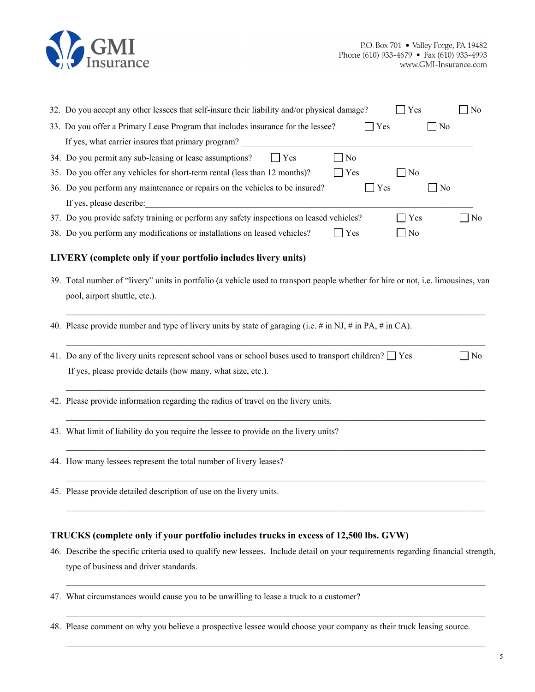

| 32. Do you accept any other lessees that self-insure their liability and/or physical damage?<br>No<br>Yes                         |
|-----------------------------------------------------------------------------------------------------------------------------------|
| 33. Do you offer a Primary Lease Program that includes insurance for the lessee?<br>Yes<br>  No                                   |
| If yes, what carrier insures that primary program?                                                                                |
| 34. Do you permit any sub-leasing or lease assumptions?<br>$\Box$ No<br>$\Box$ Yes                                                |
| 35. Do you offer any vehicles for short-term rental (less than 12 months)?<br>$\Box$ Yes<br>N <sub>o</sub>                        |
| 36. Do you perform any maintenance or repairs on the vehicles to be insured?<br>$\Box$ Yes<br>∐ No                                |
| If yes, please describe:                                                                                                          |
| 37. Do you provide safety training or perform any safety inspections on leased vehicles?<br>Yes<br>N <sub>0</sub>                 |
| 38. Do you perform any modifications or installations on leased vehicles?<br>$\bigcap$ Yes<br>No                                  |
| LIVERY (complete only if your portfolio includes livery units)                                                                    |
| 39. Total number of "livery" units in portfolio (a vehicle used to transport people whether for hire or not, i.e. limousines, van |
| pool, airport shuttle, etc.).                                                                                                     |
| 40. Please provide number and type of livery units by state of garaging (i.e. # in NJ, # in PA, # in CA).                         |
| 41. Do any of the livery units represent school vans or school buses used to transport children? $\Box$ Yes<br>N <sub>o</sub>     |
| If yes, please provide details (how many, what size, etc.).                                                                       |
| 42. Please provide information regarding the radius of travel on the livery units.                                                |
| 43. What limit of liability do you require the lessee to provide on the livery units?                                             |
| 44. How many lessees represent the total number of livery leases?                                                                 |

45. Please provide detailed description of use on the livery units.

#### **TRUCKS (complete only if your portfolio includes trucks in excess of 12,500 lbs. GVW)**

46. Describe the specific criteria used to qualify new lessees. Include detail on your requirements regarding financial strength, type of business and driver standards.

\_\_\_\_\_\_\_\_\_\_\_\_\_\_\_\_\_\_\_\_\_\_\_\_\_\_\_\_\_\_\_\_\_\_\_\_\_\_\_\_\_\_\_\_\_\_\_\_\_\_\_\_\_\_\_\_\_\_\_\_\_\_\_\_\_\_\_\_\_\_\_\_\_\_\_\_\_\_\_\_\_\_\_\_\_\_\_\_\_\_\_\_\_\_\_\_

\_\_\_\_\_\_\_\_\_\_\_\_\_\_\_\_\_\_\_\_\_\_\_\_\_\_\_\_\_\_\_\_\_\_\_\_\_\_\_\_\_\_\_\_\_\_\_\_\_\_\_\_\_\_\_\_\_\_\_\_\_\_\_\_\_\_\_\_\_\_\_\_\_\_\_\_\_\_\_\_\_\_\_\_\_\_\_\_\_\_\_\_\_\_\_\_

 $\mathcal{L}_\mathcal{L} = \{ \mathcal{L}_\mathcal{L} = \{ \mathcal{L}_\mathcal{L} = \{ \mathcal{L}_\mathcal{L} = \{ \mathcal{L}_\mathcal{L} = \{ \mathcal{L}_\mathcal{L} = \{ \mathcal{L}_\mathcal{L} = \{ \mathcal{L}_\mathcal{L} = \{ \mathcal{L}_\mathcal{L} = \{ \mathcal{L}_\mathcal{L} = \{ \mathcal{L}_\mathcal{L} = \{ \mathcal{L}_\mathcal{L} = \{ \mathcal{L}_\mathcal{L} = \{ \mathcal{L}_\mathcal{L} = \{ \mathcal{L}_\mathcal{$ 

\_\_\_\_\_\_\_\_\_\_\_\_\_\_\_\_\_\_\_\_\_\_\_\_\_\_\_\_\_\_\_\_\_\_\_\_\_\_\_\_\_\_\_\_\_\_\_\_\_\_\_\_\_\_\_\_\_\_\_\_\_\_\_\_\_\_\_\_\_\_\_\_\_\_\_\_\_\_\_\_\_\_\_\_\_\_\_\_\_\_\_\_\_\_\_\_

\_\_\_\_\_\_\_\_\_\_\_\_\_\_\_\_\_\_\_\_\_\_\_\_\_\_\_\_\_\_\_\_\_\_\_\_\_\_\_\_\_\_\_\_\_\_\_\_\_\_\_\_\_\_\_\_\_\_\_\_\_\_\_\_\_\_\_\_\_\_\_\_\_\_\_\_\_\_\_\_\_\_\_\_\_\_\_\_\_\_\_\_\_\_\_\_

- 47. What circumstances would cause you to be unwilling to lease a truck to a customer?
- 48. Please comment on why you believe a prospective lessee would choose your company as their truck leasing source.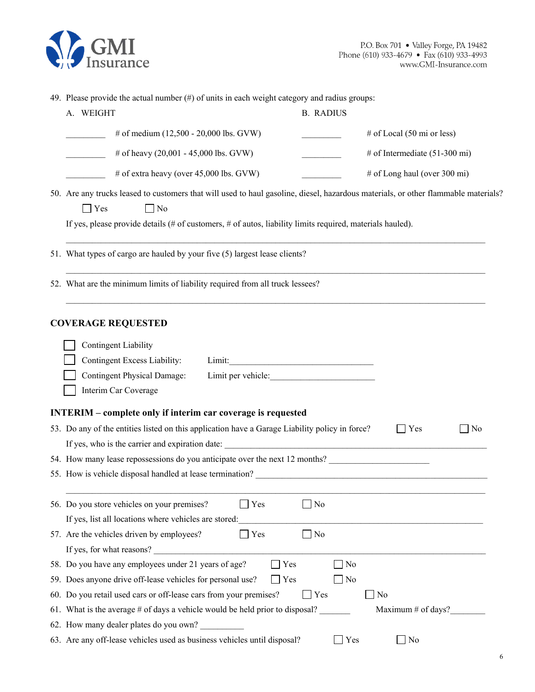

| 49. Please provide the actual number (#) of units in each weight category and radius groups:                                                                                                                                                                               |                                                                                                                       |  |  |  |  |  |  |
|----------------------------------------------------------------------------------------------------------------------------------------------------------------------------------------------------------------------------------------------------------------------------|-----------------------------------------------------------------------------------------------------------------------|--|--|--|--|--|--|
| A. WEIGHT                                                                                                                                                                                                                                                                  | <b>B. RADIUS</b>                                                                                                      |  |  |  |  |  |  |
| # of medium (12,500 - 20,000 lbs. GVW)                                                                                                                                                                                                                                     | # of Local $(50 \text{ mi or less})$                                                                                  |  |  |  |  |  |  |
| # of heavy (20,001 - 45,000 lbs. GVW)                                                                                                                                                                                                                                      | # of Intermediate $(51-300 \text{ mi})$                                                                               |  |  |  |  |  |  |
| # of extra heavy (over 45,000 lbs. GVW)                                                                                                                                                                                                                                    | # of Long haul (over 300 mi)                                                                                          |  |  |  |  |  |  |
| 50. Are any trucks leased to customers that will used to haul gasoline, diesel, hazardous materials, or other flammable materials?<br>$\Box$ Yes<br>$\Box$ No<br>If yes, please provide details (# of customers, # of autos, liability limits required, materials hauled). |                                                                                                                       |  |  |  |  |  |  |
| 51. What types of cargo are hauled by your five (5) largest lease clients?                                                                                                                                                                                                 |                                                                                                                       |  |  |  |  |  |  |
| 52. What are the minimum limits of liability required from all truck lessees?                                                                                                                                                                                              |                                                                                                                       |  |  |  |  |  |  |
| <b>COVERAGE REQUESTED</b><br><b>Contingent Liability</b><br>Contingent Excess Liability:<br>Limit:<br><b>Contingent Physical Damage:</b><br>Limit per vehicle:<br>Interim Car Coverage                                                                                     |                                                                                                                       |  |  |  |  |  |  |
| <b>INTERIM</b> – complete only if interim car coverage is requested                                                                                                                                                                                                        |                                                                                                                       |  |  |  |  |  |  |
| 53. Do any of the entities listed on this application have a Garage Liability policy in force?                                                                                                                                                                             | $\Box$ No<br>$\Box$ Yes                                                                                               |  |  |  |  |  |  |
|                                                                                                                                                                                                                                                                            |                                                                                                                       |  |  |  |  |  |  |
| 54. How many lease repossessions do you anticipate over the next 12 months?<br>55. How is vehicle disposal handled at lease termination?                                                                                                                                   | <u> 1989 - Jan James James Barnett, martin de la populación de la propia de la propia de la propia de la propia d</u> |  |  |  |  |  |  |
| 56. Do you store vehicles on your premises?<br>] Yes<br>If yes, list all locations where vehicles are stored:                                                                                                                                                              | $\Box$ No                                                                                                             |  |  |  |  |  |  |
| 57. Are the vehicles driven by employees?<br>Yes                                                                                                                                                                                                                           | $\Box$ No                                                                                                             |  |  |  |  |  |  |
| If yes, for what reasons?                                                                                                                                                                                                                                                  |                                                                                                                       |  |  |  |  |  |  |
| 58. Do you have any employees under 21 years of age?<br>Yes                                                                                                                                                                                                                | $\Box$ No                                                                                                             |  |  |  |  |  |  |
| 59. Does anyone drive off-lease vehicles for personal use?<br>Yes                                                                                                                                                                                                          | No                                                                                                                    |  |  |  |  |  |  |
| 60. Do you retail used cars or off-lease cars from your premises?                                                                                                                                                                                                          | Yes<br>$\Box$ No                                                                                                      |  |  |  |  |  |  |
| 61. What is the average # of days a vehicle would be held prior to disposal?                                                                                                                                                                                               | Maximum $#$ of days?                                                                                                  |  |  |  |  |  |  |
| 62. How many dealer plates do you own?                                                                                                                                                                                                                                     |                                                                                                                       |  |  |  |  |  |  |

63. Are any off-lease vehicles used as business vehicles until disposal?  $\Box$  Yes  $\Box$  No